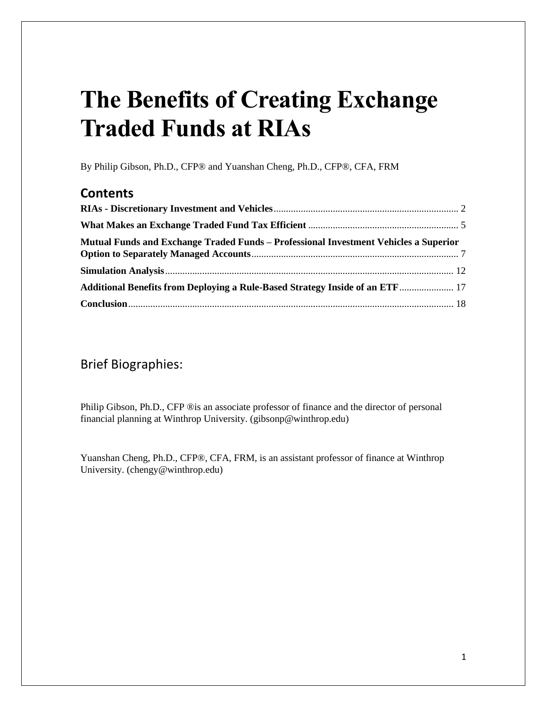# **The Benefits of Creating Exchange Traded Funds at RIAs**

By Philip Gibson, Ph.D., CFP® and Yuanshan Cheng, Ph.D., CFP®, CFA, FRM

# **Contents**

| Mutual Funds and Exchange Traded Funds – Professional Investment Vehicles a Superior |  |
|--------------------------------------------------------------------------------------|--|
|                                                                                      |  |
| Additional Benefits from Deploying a Rule-Based Strategy Inside of an ETF 17         |  |
|                                                                                      |  |

## Brief Biographies:

Philip Gibson, Ph.D., CFP ®is an associate professor of finance and the director of personal financial planning at Winthrop University. (gibsonp@winthrop.edu)

Yuanshan Cheng, Ph.D., CFP®, CFA, FRM, is an assistant professor of finance at Winthrop University. (chengy@winthrop.edu)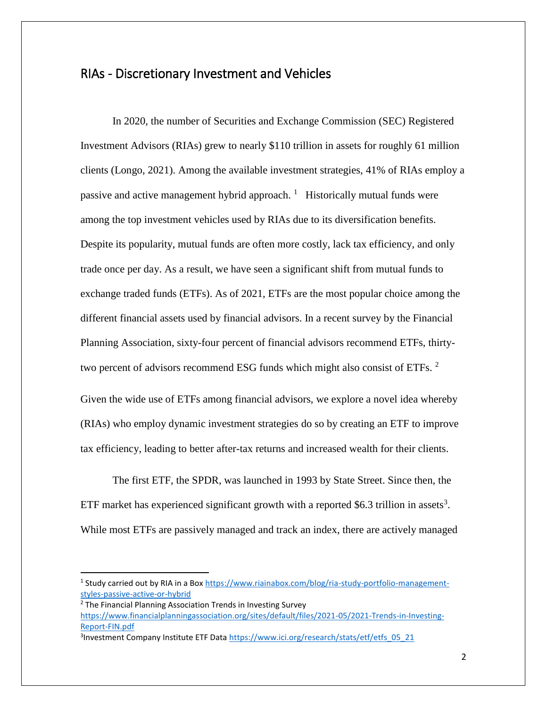### <span id="page-1-0"></span>RIAs - Discretionary Investment and Vehicles

In 2020, the number of Securities and Exchange Commission (SEC) Registered Investment Advisors (RIAs) grew to nearly \$110 trillion in assets for roughly 61 million clients (Longo, 2021). Among the available investment strategies, 41% of RIAs employ a passive and active management hybrid approach.<sup>1</sup> Historically mutual funds were among the top investment vehicles used by RIAs due to its diversification benefits. Despite its popularity, mutual funds are often more costly, lack tax efficiency, and only trade once per day. As a result, we have seen a significant shift from mutual funds to exchange traded funds (ETFs). As of 2021, ETFs are the most popular choice among the different financial assets used by financial advisors. In a recent survey by the Financial Planning Association, sixty-four percent of financial advisors recommend ETFs, thirtytwo percent of advisors recommend ESG funds which might also consist of ETFs.  $2$ 

Given the wide use of ETFs among financial advisors, we explore a novel idea whereby (RIAs) who employ dynamic investment strategies do so by creating an ETF to improve tax efficiency, leading to better after-tax returns and increased wealth for their clients.

The first ETF, the SPDR, was launched in 1993 by State Street. Since then, the ETF market has experienced significant growth with a reported \$6.3 trillion in assets<sup>3</sup>. While most ETFs are passively managed and track an index, there are actively managed

l

<sup>&</sup>lt;sup>1</sup> Study carried out by RIA in a Box [https://www.riainabox.com/blog/ria-study-portfolio-management](https://www.riainabox.com/blog/ria-study-portfolio-management-styles-passive-active-or-hybrid)[styles-passive-active-or-hybrid](https://www.riainabox.com/blog/ria-study-portfolio-management-styles-passive-active-or-hybrid)

<sup>&</sup>lt;sup>2</sup> The Financial Planning Association Trends in Investing Survey [https://www.financialplanningassociation.org/sites/default/files/2021-05/2021-Trends-in-Investing-](https://www.financialplanningassociation.org/sites/default/files/2021-05/2021-Trends-in-Investing-Report-FIN.pdf)[Report-FIN.pdf](https://www.financialplanningassociation.org/sites/default/files/2021-05/2021-Trends-in-Investing-Report-FIN.pdf)

<sup>&</sup>lt;sup>3</sup>Investment Company Institute ETF Data [https://www.ici.org/research/stats/etf/etfs\\_05\\_21](https://www.ici.org/research/stats/etf/etfs_05_21)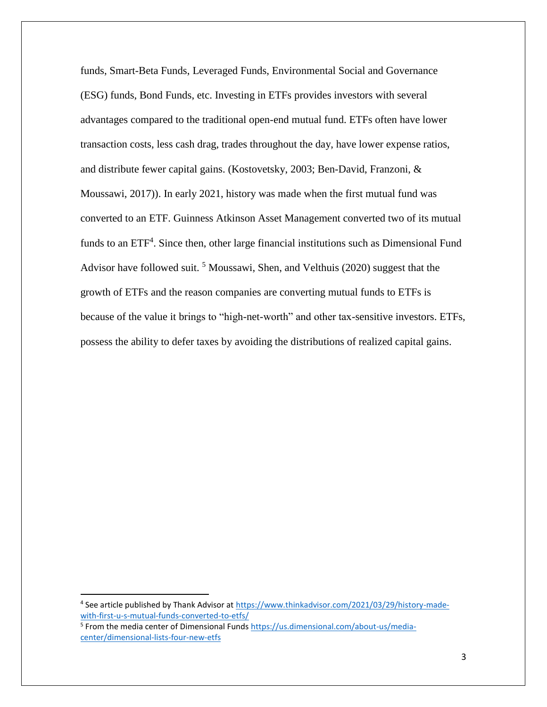funds, Smart-Beta Funds, Leveraged Funds, Environmental Social and Governance (ESG) funds, Bond Funds, etc. Investing in ETFs provides investors with several advantages compared to the traditional open-end mutual fund. ETFs often have lower transaction costs, less cash drag, trades throughout the day, have lower expense ratios, and distribute fewer capital gains. (Kostovetsky, 2003; Ben-David, Franzoni, & Moussawi, 2017)). In early 2021, history was made when the first mutual fund was converted to an ETF. Guinness Atkinson Asset Management converted two of its mutual funds to an ETF<sup>4</sup>. Since then, other large financial institutions such as Dimensional Fund Advisor have followed suit.<sup>5</sup> Moussawi, Shen, and Velthuis (2020) suggest that the growth of ETFs and the reason companies are converting mutual funds to ETFs is because of the value it brings to "high-net-worth" and other tax-sensitive investors. ETFs, possess the ability to defer taxes by avoiding the distributions of realized capital gains.

l

<sup>&</sup>lt;sup>4</sup> See article published by Thank Advisor at [https://www.thinkadvisor.com/2021/03/29/history-made](https://www.thinkadvisor.com/2021/03/29/history-made-with-first-u-s-mutual-funds-converted-to-etfs/)[with-first-u-s-mutual-funds-converted-to-etfs/](https://www.thinkadvisor.com/2021/03/29/history-made-with-first-u-s-mutual-funds-converted-to-etfs/)

<sup>&</sup>lt;sup>5</sup> From the media center of Dimensional Funds [https://us.dimensional.com/about-us/media](https://us.dimensional.com/about-us/media-center/dimensional-lists-four-new-etfs)[center/dimensional-lists-four-new-etfs](https://us.dimensional.com/about-us/media-center/dimensional-lists-four-new-etfs)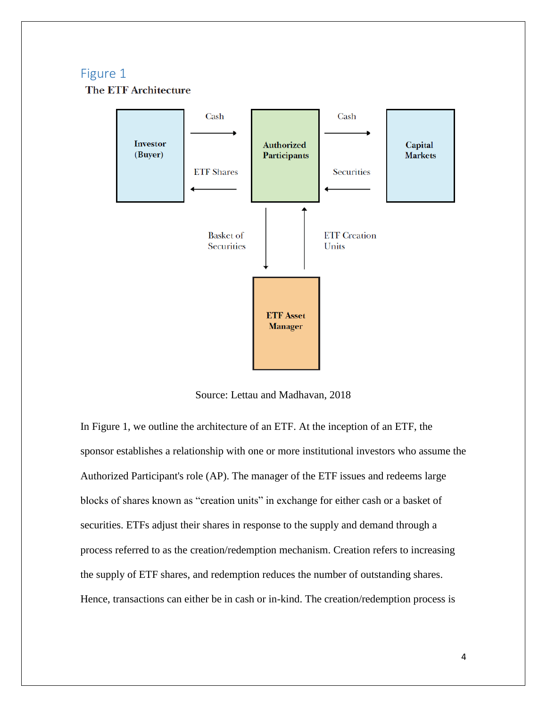## Figure 1

**The ETF Architecture** 



Source: Lettau and Madhavan, 2018

In Figure 1, we outline the architecture of an ETF. At the inception of an ETF, the sponsor establishes a relationship with one or more institutional investors who assume the Authorized Participant's role (AP). The manager of the ETF issues and redeems large blocks of shares known as "creation units" in exchange for either cash or a basket of securities. ETFs adjust their shares in response to the supply and demand through a process referred to as the creation/redemption mechanism. Creation refers to increasing the supply of ETF shares, and redemption reduces the number of outstanding shares. Hence, transactions can either be in cash or in-kind. The creation/redemption process is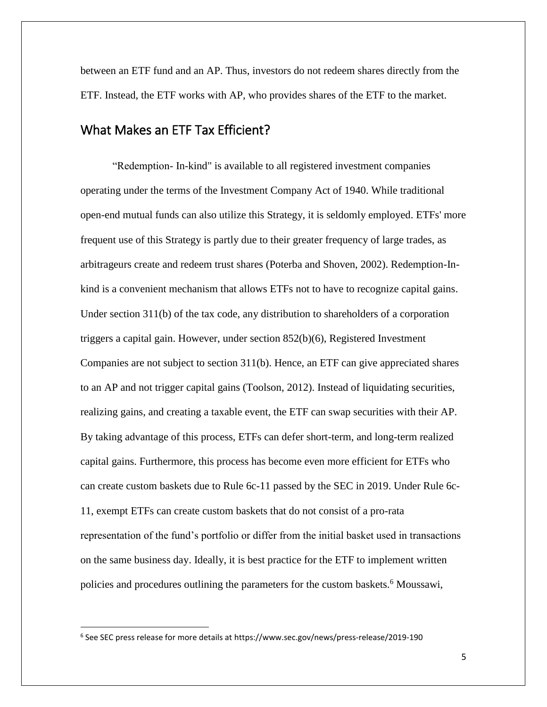between an ETF fund and an AP. Thus, investors do not redeem shares directly from the ETF. Instead, the ETF works with AP, who provides shares of the ETF to the market.

## <span id="page-4-0"></span>What Makes an ETF Tax Efficient?

"Redemption- In-kind" is available to all registered investment companies operating under the terms of the Investment Company Act of 1940. While traditional open-end mutual funds can also utilize this Strategy, it is seldomly employed. ETFs' more frequent use of this Strategy is partly due to their greater frequency of large trades, as arbitrageurs create and redeem trust shares (Poterba and Shoven, 2002). Redemption-Inkind is a convenient mechanism that allows ETFs not to have to recognize capital gains. Under section 311(b) of the tax code, any distribution to shareholders of a corporation triggers a capital gain. However, under section 852(b)(6), Registered Investment Companies are not subject to section 311(b). Hence, an ETF can give appreciated shares to an AP and not trigger capital gains (Toolson, 2012). Instead of liquidating securities, realizing gains, and creating a taxable event, the ETF can swap securities with their AP. By taking advantage of this process, ETFs can defer short-term, and long-term realized capital gains. Furthermore, this process has become even more efficient for ETFs who can create custom baskets due to Rule 6c-11 passed by the SEC in 2019. Under Rule 6c-11, exempt ETFs can create custom baskets that do not consist of a pro-rata representation of the fund's portfolio or differ from the initial basket used in transactions on the same business day. Ideally, it is best practice for the ETF to implement written policies and procedures outlining the parameters for the custom baskets.<sup>6</sup> Moussawi,

 $\overline{\phantom{a}}$ 

<sup>6</sup> See SEC press release for more details at https://www.sec.gov/news/press-release/2019-190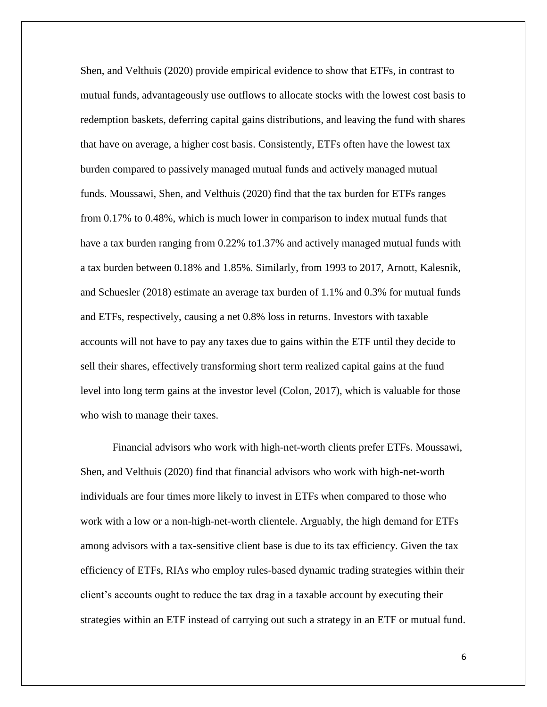Shen, and Velthuis (2020) provide empirical evidence to show that ETFs, in contrast to mutual funds, advantageously use outflows to allocate stocks with the lowest cost basis to redemption baskets, deferring capital gains distributions, and leaving the fund with shares that have on average, a higher cost basis. Consistently, ETFs often have the lowest tax burden compared to passively managed mutual funds and actively managed mutual funds. Moussawi, Shen, and Velthuis (2020) find that the tax burden for ETFs ranges from 0.17% to 0.48%, which is much lower in comparison to index mutual funds that have a tax burden ranging from 0.22% to1.37% and actively managed mutual funds with a tax burden between 0.18% and 1.85%. Similarly, from 1993 to 2017, Arnott, Kalesnik, and Schuesler (2018) estimate an average tax burden of 1.1% and 0.3% for mutual funds and ETFs, respectively, causing a net 0.8% loss in returns. Investors with taxable accounts will not have to pay any taxes due to gains within the ETF until they decide to sell their shares, effectively transforming short term realized capital gains at the fund level into long term gains at the investor level (Colon, 2017), which is valuable for those who wish to manage their taxes.

Financial advisors who work with high-net-worth clients prefer ETFs. Moussawi, Shen, and Velthuis (2020) find that financial advisors who work with high-net-worth individuals are four times more likely to invest in ETFs when compared to those who work with a low or a non-high-net-worth clientele. Arguably, the high demand for ETFs among advisors with a tax-sensitive client base is due to its tax efficiency. Given the tax efficiency of ETFs, RIAs who employ rules-based dynamic trading strategies within their client's accounts ought to reduce the tax drag in a taxable account by executing their strategies within an ETF instead of carrying out such a strategy in an ETF or mutual fund.

6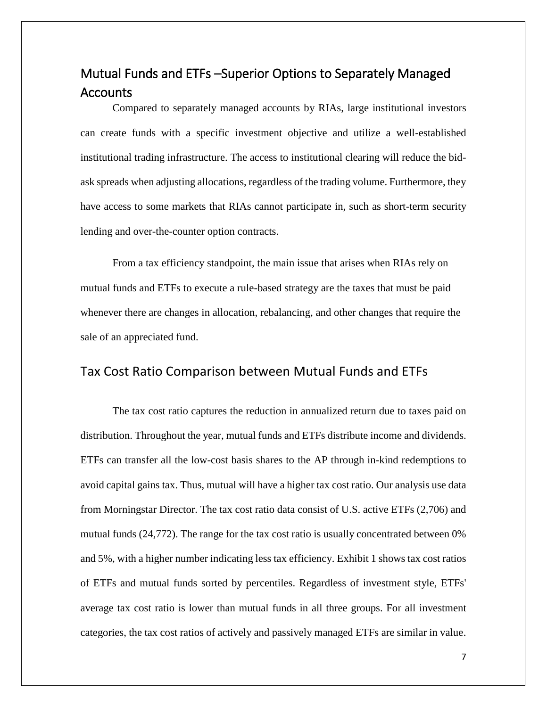# <span id="page-6-0"></span>Mutual Funds and ETFs –Superior Options to Separately Managed Accounts

Compared to separately managed accounts by RIAs, large institutional investors can create funds with a specific investment objective and utilize a well-established institutional trading infrastructure. The access to institutional clearing will reduce the bidask spreads when adjusting allocations, regardless of the trading volume. Furthermore, they have access to some markets that RIAs cannot participate in, such as short-term security lending and over-the-counter option contracts.

From a tax efficiency standpoint, the main issue that arises when RIAs rely on mutual funds and ETFs to execute a rule-based strategy are the taxes that must be paid whenever there are changes in allocation, rebalancing, and other changes that require the sale of an appreciated fund.

### Tax Cost Ratio Comparison between Mutual Funds and ETFs

The tax cost ratio captures the reduction in annualized return due to taxes paid on distribution. Throughout the year, mutual funds and ETFs distribute income and dividends. ETFs can transfer all the low-cost basis shares to the AP through in-kind redemptions to avoid capital gains tax. Thus, mutual will have a higher tax cost ratio. Our analysis use data from Morningstar Director. The tax cost ratio data consist of U.S. active ETFs (2,706) and mutual funds (24,772). The range for the tax cost ratio is usually concentrated between 0% and 5%, with a higher number indicating less tax efficiency. Exhibit 1 shows tax cost ratios of ETFs and mutual funds sorted by percentiles. Regardless of investment style, ETFs' average tax cost ratio is lower than mutual funds in all three groups. For all investment categories, the tax cost ratios of actively and passively managed ETFs are similar in value.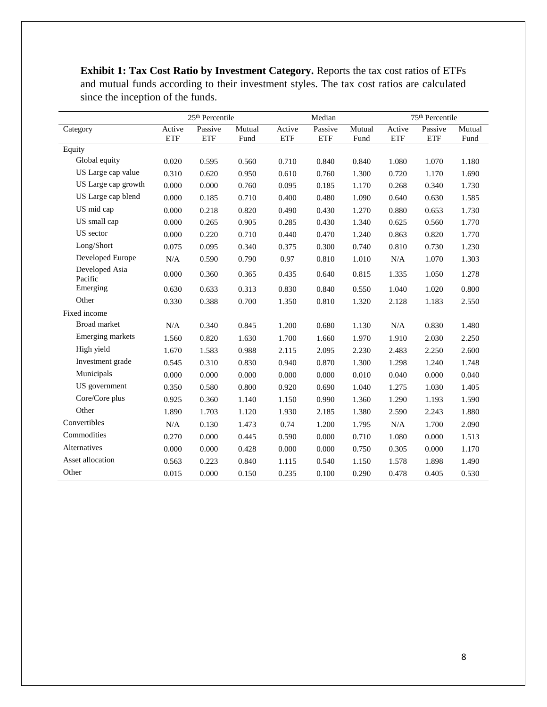**Exhibit 1: Tax Cost Ratio by Investment Category.** Reports the tax cost ratios of ETFs and mutual funds according to their investment styles. The tax cost ratios are calculated since the inception of the funds.

|                           |                      | 25 <sup>th</sup> Percentile |                |                      | Median                |                | 75 <sup>th</sup> Percentile |                       |                |  |
|---------------------------|----------------------|-----------------------------|----------------|----------------------|-----------------------|----------------|-----------------------------|-----------------------|----------------|--|
| Category                  | Active<br><b>ETF</b> | Passive<br><b>ETF</b>       | Mutual<br>Fund | Active<br><b>ETF</b> | Passive<br><b>ETF</b> | Mutual<br>Fund | Active<br><b>ETF</b>        | Passive<br><b>ETF</b> | Mutual<br>Fund |  |
| Equity                    |                      |                             |                |                      |                       |                |                             |                       |                |  |
| Global equity             | 0.020                | 0.595                       | 0.560          | 0.710                | 0.840                 | 0.840          | 1.080                       | 1.070                 | 1.180          |  |
| US Large cap value        | 0.310                | 0.620                       | 0.950          | 0.610                | 0.760                 | 1.300          | 0.720                       | 1.170                 | 1.690          |  |
| US Large cap growth       | 0.000                | 0.000                       | 0.760          | 0.095                | 0.185                 | 1.170          | 0.268                       | 0.340                 | 1.730          |  |
| US Large cap blend        | 0.000                | 0.185                       | 0.710          | 0.400                | 0.480                 | 1.090          | 0.640                       | 0.630                 | 1.585          |  |
| US mid cap                | 0.000                | 0.218                       | 0.820          | 0.490                | 0.430                 | 1.270          | 0.880                       | 0.653                 | 1.730          |  |
| US small cap              | 0.000                | 0.265                       | 0.905          | 0.285                | 0.430                 | 1.340          | 0.625                       | 0.560                 | 1.770          |  |
| US sector                 | 0.000                | 0.220                       | 0.710          | 0.440                | 0.470                 | 1.240          | 0.863                       | 0.820                 | 1.770          |  |
| Long/Short                | 0.075                | 0.095                       | 0.340          | 0.375                | 0.300                 | 0.740          | 0.810                       | 0.730                 | 1.230          |  |
| Developed Europe          | N/A                  | 0.590                       | 0.790          | 0.97                 | 0.810                 | 1.010          | N/A                         | 1.070                 | 1.303          |  |
| Developed Asia<br>Pacific | 0.000                | 0.360                       | 0.365          | 0.435                | 0.640                 | 0.815          | 1.335                       | 1.050                 | 1.278          |  |
| Emerging                  | 0.630                | 0.633                       | 0.313          | 0.830                | 0.840                 | 0.550          | 1.040                       | 1.020                 | 0.800          |  |
| Other                     | 0.330                | 0.388                       | 0.700          | 1.350                | 0.810                 | 1.320          | 2.128                       | 1.183                 | 2.550          |  |
| Fixed income              |                      |                             |                |                      |                       |                |                             |                       |                |  |
| Broad market              | N/A                  | 0.340                       | 0.845          | 1.200                | 0.680                 | 1.130          | N/A                         | 0.830                 | 1.480          |  |
| Emerging markets          | 1.560                | 0.820                       | 1.630          | 1.700                | 1.660                 | 1.970          | 1.910                       | 2.030                 | 2.250          |  |
| High yield                | 1.670                | 1.583                       | 0.988          | 2.115                | 2.095                 | 2.230          | 2.483                       | 2.250                 | 2.600          |  |
| Investment grade          | 0.545                | 0.310                       | 0.830          | 0.940                | 0.870                 | 1.300          | 1.298                       | 1.240                 | 1.748          |  |
| Municipals                | 0.000                | 0.000                       | 0.000          | 0.000                | 0.000                 | 0.010          | 0.040                       | 0.000                 | 0.040          |  |
| US government             | 0.350                | 0.580                       | 0.800          | 0.920                | 0.690                 | 1.040          | 1.275                       | 1.030                 | 1.405          |  |
| Core/Core plus            | 0.925                | 0.360                       | 1.140          | 1.150                | 0.990                 | 1.360          | 1.290                       | 1.193                 | 1.590          |  |
| Other                     | 1.890                | 1.703                       | 1.120          | 1.930                | 2.185                 | 1.380          | 2.590                       | 2.243                 | 1.880          |  |
| Convertibles              | N/A                  | 0.130                       | 1.473          | 0.74                 | 1.200                 | 1.795          | N/A                         | 1.700                 | 2.090          |  |
| Commodities               | 0.270                | 0.000                       | 0.445          | 0.590                | 0.000                 | 0.710          | 1.080                       | 0.000                 | 1.513          |  |
| Alternatives              | 0.000                | 0.000                       | 0.428          | 0.000                | 0.000                 | 0.750          | 0.305                       | 0.000                 | 1.170          |  |
| Asset allocation          | 0.563                | 0.223                       | 0.840          | 1.115                | 0.540                 | 1.150          | 1.578                       | 1.898                 | 1.490          |  |
| Other                     | 0.015                | 0.000                       | 0.150          | 0.235                | 0.100                 | 0.290          | 0.478                       | 0.405                 | 0.530          |  |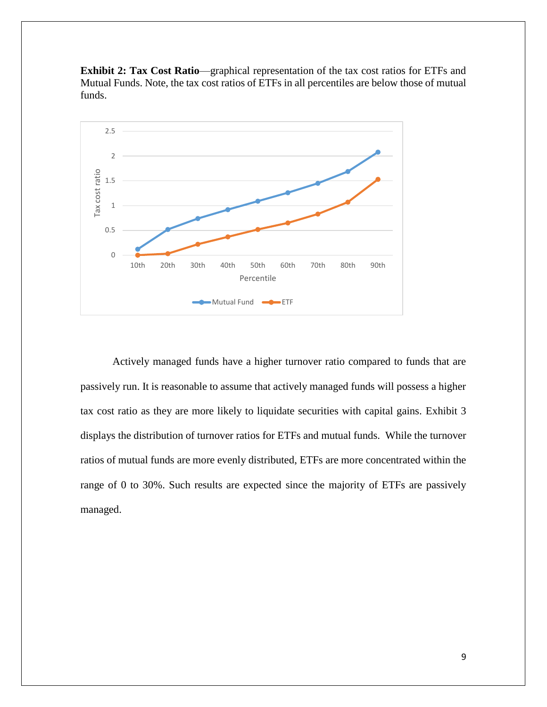



Actively managed funds have a higher turnover ratio compared to funds that are passively run. It is reasonable to assume that actively managed funds will possess a higher tax cost ratio as they are more likely to liquidate securities with capital gains. Exhibit 3 displays the distribution of turnover ratios for ETFs and mutual funds. While the turnover ratios of mutual funds are more evenly distributed, ETFs are more concentrated within the range of 0 to 30%. Such results are expected since the majority of ETFs are passively managed.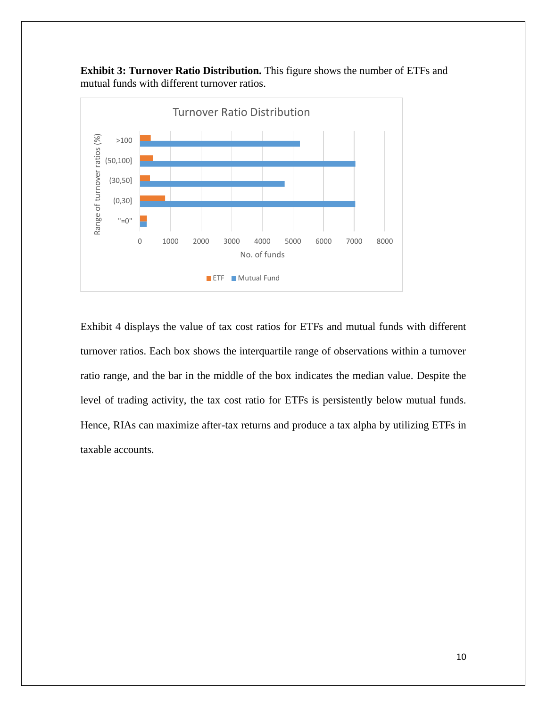**Exhibit 3: Turnover Ratio Distribution.** This figure shows the number of ETFs and mutual funds with different turnover ratios.



Exhibit 4 displays the value of tax cost ratios for ETFs and mutual funds with different turnover ratios. Each box shows the interquartile range of observations within a turnover ratio range, and the bar in the middle of the box indicates the median value. Despite the level of trading activity, the tax cost ratio for ETFs is persistently below mutual funds. Hence, RIAs can maximize after-tax returns and produce a tax alpha by utilizing ETFs in taxable accounts.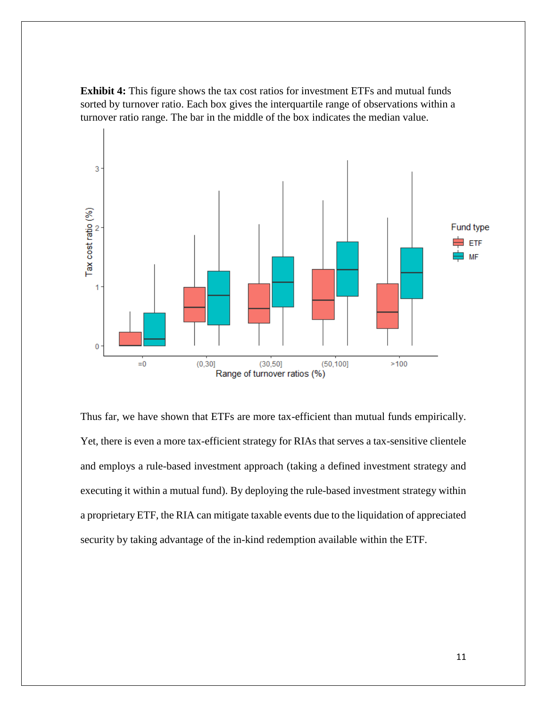**Exhibit 4:** This figure shows the tax cost ratios for investment ETFs and mutual funds sorted by turnover ratio. Each box gives the interquartile range of observations within a turnover ratio range. The bar in the middle of the box indicates the median value.



Thus far, we have shown that ETFs are more tax-efficient than mutual funds empirically. Yet, there is even a more tax-efficient strategy for RIAs that serves a tax-sensitive clientele and employs a rule-based investment approach (taking a defined investment strategy and executing it within a mutual fund). By deploying the rule-based investment strategy within a proprietary ETF, the RIA can mitigate taxable events due to the liquidation of appreciated security by taking advantage of the in-kind redemption available within the ETF.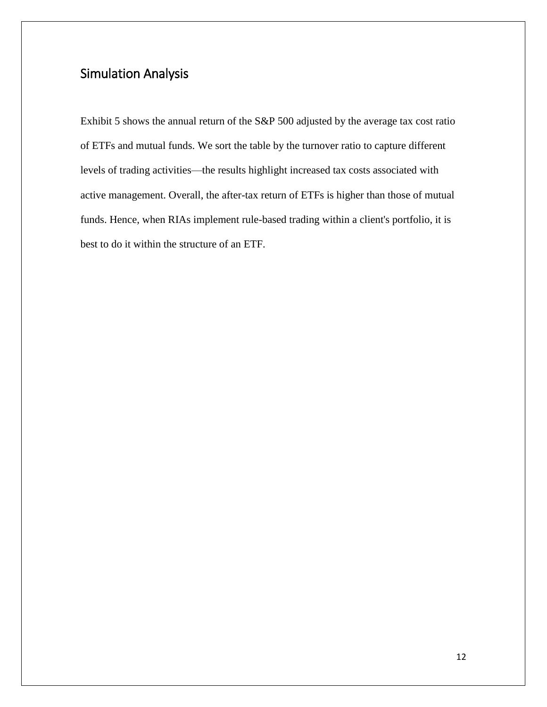# <span id="page-11-0"></span>Simulation Analysis

Exhibit 5 shows the annual return of the S&P 500 adjusted by the average tax cost ratio of ETFs and mutual funds. We sort the table by the turnover ratio to capture different levels of trading activities—the results highlight increased tax costs associated with active management. Overall, the after-tax return of ETFs is higher than those of mutual funds. Hence, when RIAs implement rule-based trading within a client's portfolio, it is best to do it within the structure of an ETF.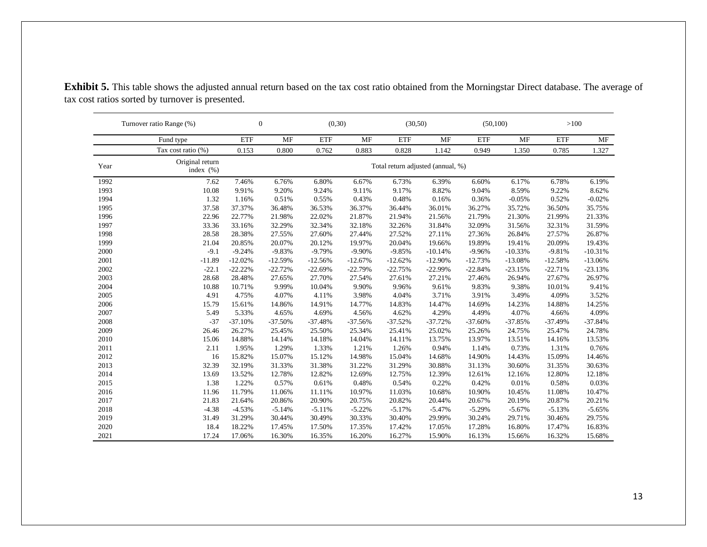|      | Turnover ratio Range (%)        |            | $\boldsymbol{0}$ |                                   | (0,30)    |            | (30,50)   |            | (50,100)  |            | >100      |  |
|------|---------------------------------|------------|------------------|-----------------------------------|-----------|------------|-----------|------------|-----------|------------|-----------|--|
|      | Fund type                       | <b>ETF</b> | <b>MF</b>        | <b>ETF</b>                        | <b>MF</b> | <b>ETF</b> | <b>MF</b> | <b>ETF</b> | <b>MF</b> | <b>ETF</b> | MF        |  |
|      | Tax cost ratio (%)              | 0.153      | 0.800            | 0.762                             | 0.883     | 0.828      | 1.142     | 0.949      | 1.350     | 0.785      | 1.327     |  |
| Year | Original return<br>index $(\%)$ |            |                  | Total return adjusted (annual, %) |           |            |           |            |           |            |           |  |
| 1992 | 7.62                            | 7.46%      | 6.76%            | 6.80%                             | 6.67%     | 6.73%      | 6.39%     | 6.60%      | 6.17%     | 6.78%      | 6.19%     |  |
| 1993 | 10.08                           | 9.91%      | 9.20%            | 9.24%                             | 9.11%     | 9.17%      | 8.82%     | 9.04%      | 8.59%     | 9.22%      | 8.62%     |  |
| 1994 | 1.32                            | 1.16%      | 0.51%            | 0.55%                             | 0.43%     | 0.48%      | 0.16%     | 0.36%      | $-0.05%$  | 0.52%      | $-0.02%$  |  |
| 1995 | 37.58                           | 37.37%     | 36.48%           | 36.53%                            | 36.37%    | 36.44%     | 36.01%    | 36.27%     | 35.72%    | 36.50%     | 35.75%    |  |
| 1996 | 22.96                           | 22.77%     | 21.98%           | 22.02%                            | 21.87%    | 21.94%     | 21.56%    | 21.79%     | 21.30%    | 21.99%     | 21.33%    |  |
| 1997 | 33.36                           | 33.16%     | 32.29%           | 32.34%                            | 32.18%    | 32.26%     | 31.84%    | 32.09%     | 31.56%    | 32.31%     | 31.59%    |  |
| 1998 | 28.58                           | 28.38%     | 27.55%           | 27.60%                            | 27.44%    | 27.52%     | 27.11%    | 27.36%     | 26.84%    | 27.57%     | 26.87%    |  |
| 1999 | 21.04                           | 20.85%     | 20.07%           | 20.12%                            | 19.97%    | 20.04%     | 19.66%    | 19.89%     | 19.41%    | 20.09%     | 19.43%    |  |
| 2000 | $-9.1$                          | $-9.24%$   | $-9.83%$         | $-9.79%$                          | $-9.90%$  | $-9.85%$   | $-10.14%$ | $-9.96%$   | $-10.33%$ | $-9.81%$   | $-10.31%$ |  |
| 2001 | $-11.89$                        | $-12.02%$  | $-12.59%$        | $-12.56%$                         | $-12.67%$ | $-12.62%$  | $-12.90%$ | $-12.73%$  | $-13.08%$ | $-12.58%$  | $-13.06%$ |  |
| 2002 | $-22.1$                         | $-22.22%$  | $-22.72%$        | $-22.69%$                         | $-22.79%$ | $-22.75%$  | $-22.99%$ | $-22.84%$  | $-23.15%$ | $-22.71%$  | $-23.13%$ |  |
| 2003 | 28.68                           | 28.48%     | 27.65%           | 27.70%                            | 27.54%    | 27.61%     | 27.21%    | 27.46%     | 26.94%    | 27.67%     | 26.97%    |  |
| 2004 | 10.88                           | 10.71%     | 9.99%            | 10.04%                            | 9.90%     | 9.96%      | 9.61%     | 9.83%      | 9.38%     | 10.01%     | 9.41%     |  |
| 2005 | 4.91                            | 4.75%      | 4.07%            | 4.11%                             | 3.98%     | 4.04%      | 3.71%     | 3.91%      | 3.49%     | 4.09%      | 3.52%     |  |
| 2006 | 15.79                           | 15.61%     | 14.86%           | 14.91%                            | 14.77%    | 14.83%     | 14.47%    | 14.69%     | 14.23%    | 14.88%     | 14.25%    |  |
| 2007 | 5.49                            | 5.33%      | 4.65%            | 4.69%                             | 4.56%     | 4.62%      | 4.29%     | 4.49%      | 4.07%     | 4.66%      | 4.09%     |  |
| 2008 | $-37$                           | $-37.10%$  | $-37.50%$        | $-37.48%$                         | $-37.56%$ | $-37.52%$  | $-37.72%$ | $-37.60%$  | $-37.85%$ | $-37.49%$  | $-37.84%$ |  |
| 2009 | 26.46                           | 26.27%     | 25.45%           | 25.50%                            | 25.34%    | 25.41%     | 25.02%    | 25.26%     | 24.75%    | 25.47%     | 24.78%    |  |
| 2010 | 15.06                           | 14.88%     | 14.14%           | 14.18%                            | 14.04%    | 14.11%     | 13.75%    | 13.97%     | 13.51%    | 14.16%     | 13.53%    |  |
| 2011 | 2.11                            | 1.95%      | 1.29%            | 1.33%                             | 1.21%     | 1.26%      | 0.94%     | 1.14%      | 0.73%     | 1.31%      | 0.76%     |  |
| 2012 | 16                              | 15.82%     | 15.07%           | 15.12%                            | 14.98%    | 15.04%     | 14.68%    | 14.90%     | 14.43%    | 15.09%     | 14.46%    |  |
| 2013 | 32.39                           | 32.19%     | 31.33%           | 31.38%                            | 31.22%    | 31.29%     | 30.88%    | 31.13%     | 30.60%    | 31.35%     | 30.63%    |  |
| 2014 | 13.69                           | 13.52%     | 12.78%           | 12.82%                            | 12.69%    | 12.75%     | 12.39%    | 12.61%     | 12.16%    | 12.80%     | 12.18%    |  |
| 2015 | 1.38                            | 1.22%      | 0.57%            | 0.61%                             | 0.48%     | 0.54%      | 0.22%     | 0.42%      | 0.01%     | 0.58%      | 0.03%     |  |
| 2016 | 11.96                           | 11.79%     | 11.06%           | 11.11%                            | 10.97%    | 11.03%     | 10.68%    | 10.90%     | 10.45%    | 11.08%     | 10.47%    |  |
| 2017 | 21.83                           | 21.64%     | 20.86%           | 20.90%                            | 20.75%    | 20.82%     | 20.44%    | 20.67%     | 20.19%    | 20.87%     | 20.21%    |  |
| 2018 | $-4.38$                         | $-4.53%$   | $-5.14%$         | $-5.11%$                          | $-5.22%$  | $-5.17%$   | $-5.47%$  | $-5.29%$   | $-5.67%$  | $-5.13%$   | $-5.65%$  |  |
| 2019 | 31.49                           | 31.29%     | 30.44%           | 30.49%                            | 30.33%    | 30.40%     | 29.99%    | 30.24%     | 29.71%    | 30.46%     | 29.75%    |  |
| 2020 | 18.4                            | 18.22%     | 17.45%           | 17.50%                            | 17.35%    | 17.42%     | 17.05%    | 17.28%     | 16.80%    | 17.47%     | 16.83%    |  |
| 2021 | 17.24                           | 17.06%     | 16.30%           | 16.35%                            | 16.20%    | 16.27%     | 15.90%    | 16.13%     | 15.66%    | 16.32%     | 15.68%    |  |

**Exhibit 5.** This table shows the adjusted annual return based on the tax cost ratio obtained from the Morningstar Direct database. The average of tax cost ratios sorted by turnover is presented.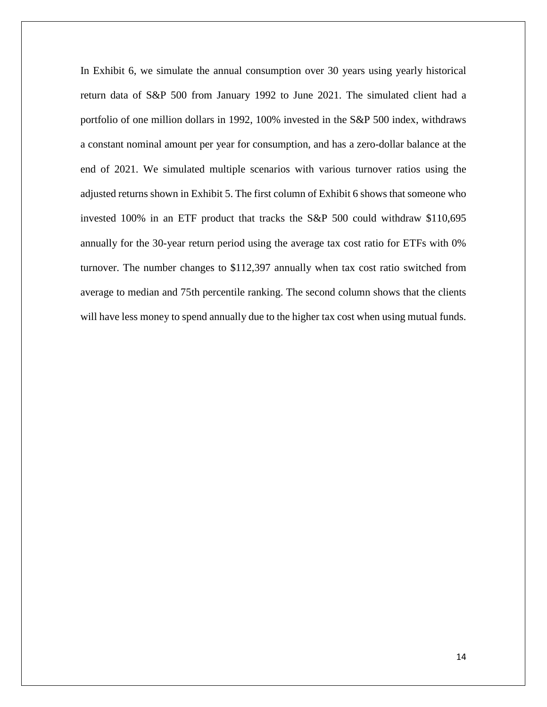In Exhibit 6, we simulate the annual consumption over 30 years using yearly historical return data of S&P 500 from January 1992 to June 2021. The simulated client had a portfolio of one million dollars in 1992, 100% invested in the S&P 500 index, withdraws a constant nominal amount per year for consumption, and has a zero-dollar balance at the end of 2021. We simulated multiple scenarios with various turnover ratios using the adjusted returns shown in Exhibit 5. The first column of Exhibit 6 shows that someone who invested 100% in an ETF product that tracks the S&P 500 could withdraw \$110,695 annually for the 30-year return period using the average tax cost ratio for ETFs with 0% turnover. The number changes to \$112,397 annually when tax cost ratio switched from average to median and 75th percentile ranking. The second column shows that the clients will have less money to spend annually due to the higher tax cost when using mutual funds.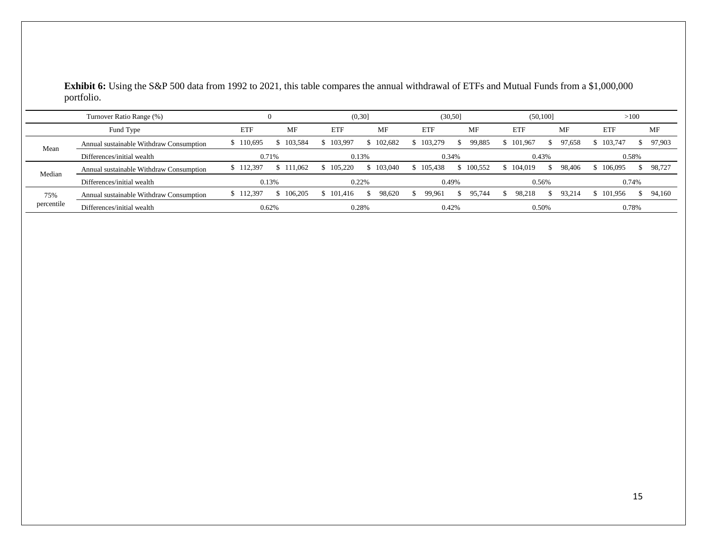**Exhibit 6:** Using the S&P 500 data from 1992 to 2021, this table compares the annual withdrawal of ETFs and Mutual Funds from a \$1,000,000 portfolio.

| Turnover Ratio Range (%) |                                         |            |           | (0,30]    |         | (30,50]    |           | (50, 100]      |              | >100       |        |
|--------------------------|-----------------------------------------|------------|-----------|-----------|---------|------------|-----------|----------------|--------------|------------|--------|
|                          | Fund Type                               | <b>ETF</b> | MF        | ETF       | MF      | <b>ETF</b> | <b>MF</b> | ETF            | <b>MF</b>    | <b>ETF</b> | МF     |
| Mean                     | Annual sustainable Withdraw Consumption | \$110,695  | \$103,584 | \$103,997 | 102.682 | \$103,279  | 99,885    | 101.967<br>Эb. | 97.658<br>S. | \$103,747  | 97,903 |
|                          | Differences/initial wealth              | 0.71%      |           | 0.13%     |         | 0.34%      |           | 0.43%          |              | 0.58%      |        |
| Median                   | Annual sustainable Withdraw Consumption | \$112,397  | \$111,062 | \$105,220 | 103,040 | \$105.438  | \$100.552 | 104.019        | 98.406<br>S. | \$106,095  | 98.727 |
|                          | Differences/initial wealth              | 0.13%      |           | 0.22%     |         | 0.49%      |           | 0.56%          |              | 0.74%      |        |
| 75%<br>percentile        | Annual sustainable Withdraw Consumption | \$112,397  | \$106,205 | \$101.416 | 98.620  | 99,961     | 95.744    | 98.218         | 93.214<br>S. | \$101.956  | 94.160 |
|                          | Differences/initial wealth              | 0.62%      |           | 0.28%     |         | 0.42%      |           | 0.50%          |              | 0.78%      |        |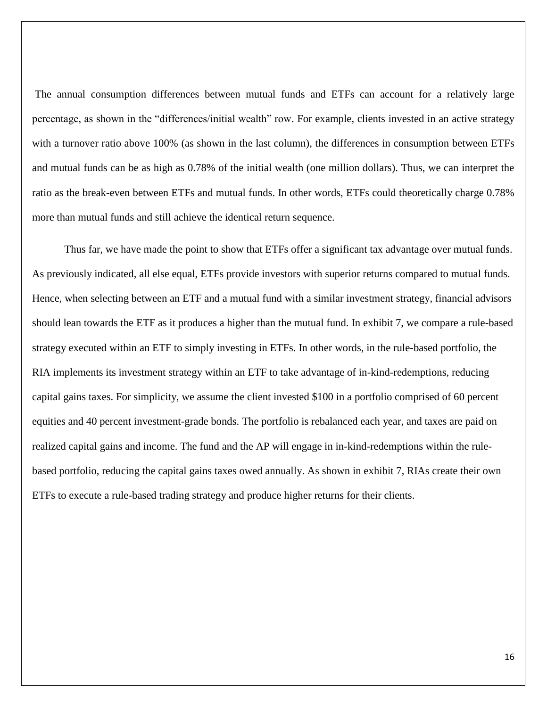The annual consumption differences between mutual funds and ETFs can account for a relatively large percentage, as shown in the "differences/initial wealth" row. For example, clients invested in an active strategy with a turnover ratio above 100% (as shown in the last column), the differences in consumption between ETFs and mutual funds can be as high as 0.78% of the initial wealth (one million dollars). Thus, we can interpret the ratio as the break-even between ETFs and mutual funds. In other words, ETFs could theoretically charge 0.78% more than mutual funds and still achieve the identical return sequence.

Thus far, we have made the point to show that ETFs offer a significant tax advantage over mutual funds. As previously indicated, all else equal, ETFs provide investors with superior returns compared to mutual funds. Hence, when selecting between an ETF and a mutual fund with a similar investment strategy, financial advisors should lean towards the ETF as it produces a higher than the mutual fund. In exhibit 7, we compare a rule-based strategy executed within an ETF to simply investing in ETFs. In other words, in the rule-based portfolio, the RIA implements its investment strategy within an ETF to take advantage of in-kind-redemptions, reducing capital gains taxes. For simplicity, we assume the client invested \$100 in a portfolio comprised of 60 percent equities and 40 percent investment-grade bonds. The portfolio is rebalanced each year, and taxes are paid on realized capital gains and income. The fund and the AP will engage in in-kind-redemptions within the rulebased portfolio, reducing the capital gains taxes owed annually. As shown in exhibit 7, RIAs create their own ETFs to execute a rule-based trading strategy and produce higher returns for their clients.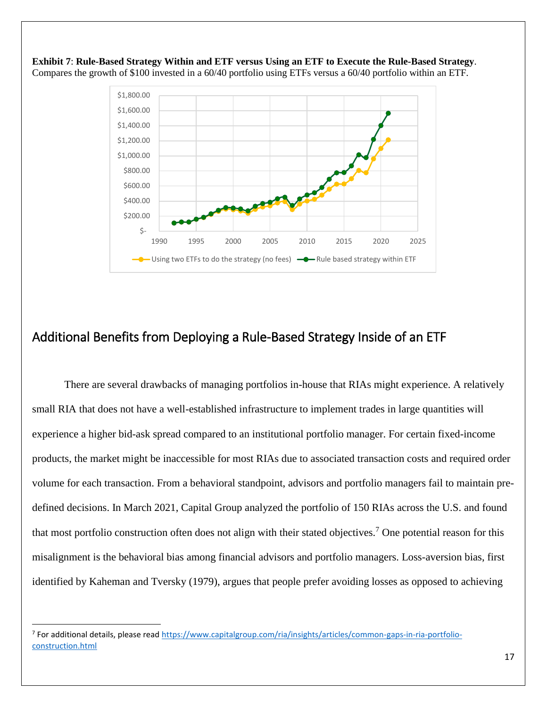

**Exhibit 7**: **Rule-Based Strategy Within and ETF versus Using an ETF to Execute the Rule-Based Strategy**. Compares the growth of \$100 invested in a 60/40 portfolio using ETFs versus a 60/40 portfolio within an ETF.

# <span id="page-16-0"></span>Additional Benefits from Deploying a Rule-Based Strategy Inside of an ETF

There are several drawbacks of managing portfolios in-house that RIAs might experience. A relatively small RIA that does not have a well-established infrastructure to implement trades in large quantities will experience a higher bid-ask spread compared to an institutional portfolio manager. For certain fixed-income products, the market might be inaccessible for most RIAs due to associated transaction costs and required order volume for each transaction. From a behavioral standpoint, advisors and portfolio managers fail to maintain predefined decisions. In March 2021, Capital Group analyzed the portfolio of 150 RIAs across the U.S. and found that most portfolio construction often does not align with their stated objectives.<sup>7</sup> One potential reason for this misalignment is the behavioral bias among financial advisors and portfolio managers. Loss-aversion bias, first identified by Kaheman and Tversky (1979), argues that people prefer avoiding losses as opposed to achieving

 $\overline{\phantom{a}}$ 

<sup>&</sup>lt;sup>7</sup> For additional details, please read [https://www.capitalgroup.com/ria/insights/articles/common-gaps-in-ria-portfolio](https://www.capitalgroup.com/ria/insights/articles/common-gaps-in-ria-portfolio-construction.html)[construction.html](https://www.capitalgroup.com/ria/insights/articles/common-gaps-in-ria-portfolio-construction.html)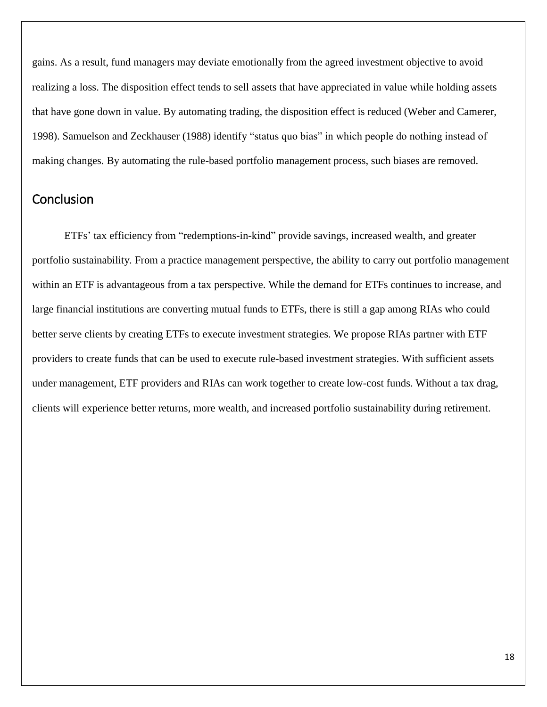gains. As a result, fund managers may deviate emotionally from the agreed investment objective to avoid realizing a loss. The disposition effect tends to sell assets that have appreciated in value while holding assets that have gone down in value. By automating trading, the disposition effect is reduced (Weber and Camerer, 1998). Samuelson and Zeckhauser (1988) identify "status quo bias" in which people do nothing instead of making changes. By automating the rule-based portfolio management process, such biases are removed.

# <span id="page-17-0"></span>Conclusion

ETFs' tax efficiency from "redemptions-in-kind" provide savings, increased wealth, and greater portfolio sustainability. From a practice management perspective, the ability to carry out portfolio management within an ETF is advantageous from a tax perspective. While the demand for ETFs continues to increase, and large financial institutions are converting mutual funds to ETFs, there is still a gap among RIAs who could better serve clients by creating ETFs to execute investment strategies. We propose RIAs partner with ETF providers to create funds that can be used to execute rule-based investment strategies. With sufficient assets under management, ETF providers and RIAs can work together to create low-cost funds. Without a tax drag, clients will experience better returns, more wealth, and increased portfolio sustainability during retirement.